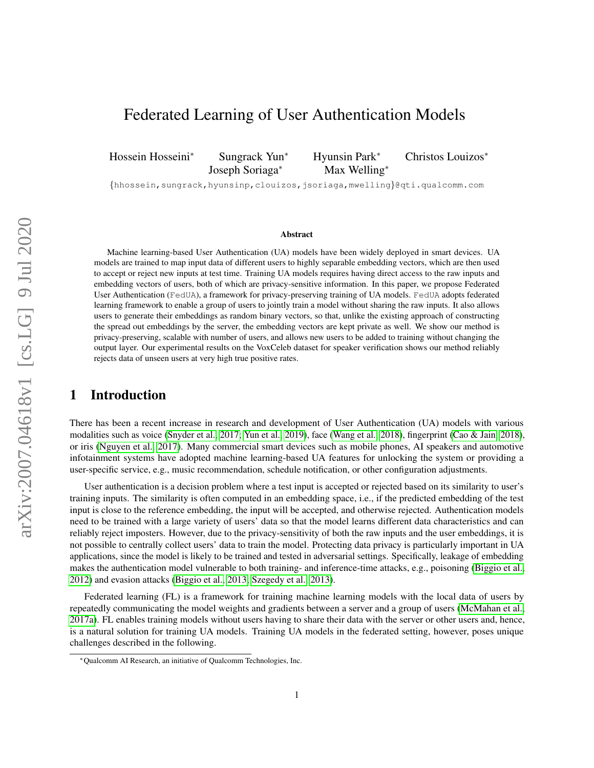# Federated Learning of User Authentication Models

Hossein Hosseini<sup>∗</sup> Sungrack Yun<sup>∗</sup> Hyunsin Park<sup>∗</sup> Christos Louizos<sup>∗</sup>

Joseph Soriaga<sup>∗</sup> Max Welling<sup>∗</sup>

{hhossein,sungrack,hyunsinp,clouizos,jsoriaga,mwelling}@qti.qualcomm.com

#### Abstract

Machine learning-based User Authentication (UA) models have been widely deployed in smart devices. UA models are trained to map input data of different users to highly separable embedding vectors, which are then used to accept or reject new inputs at test time. Training UA models requires having direct access to the raw inputs and embedding vectors of users, both of which are privacy-sensitive information. In this paper, we propose Federated User Authentication (FedUA), a framework for privacy-preserving training of UA models. FedUA adopts federated learning framework to enable a group of users to jointly train a model without sharing the raw inputs. It also allows users to generate their embeddings as random binary vectors, so that, unlike the existing approach of constructing the spread out embeddings by the server, the embedding vectors are kept private as well. We show our method is privacy-preserving, scalable with number of users, and allows new users to be added to training without changing the output layer. Our experimental results on the VoxCeleb dataset for speaker verification shows our method reliably rejects data of unseen users at very high true positive rates.

# 1 Introduction

There has been a recent increase in research and development of User Authentication (UA) models with various modalities such as voice [\(Snyder et al., 2017;](#page-9-0) [Yun et al., 2019\)](#page-9-1), face [\(Wang et al., 2018\)](#page-9-2), fingerprint [\(Cao & Jain, 2018\)](#page-8-0), or iris [\(Nguyen et al., 2017\)](#page-9-3). Many commercial smart devices such as mobile phones, AI speakers and automotive infotainment systems have adopted machine learning-based UA features for unlocking the system or providing a user-specific service, e.g., music recommendation, schedule notification, or other configuration adjustments.

User authentication is a decision problem where a test input is accepted or rejected based on its similarity to user's training inputs. The similarity is often computed in an embedding space, i.e., if the predicted embedding of the test input is close to the reference embedding, the input will be accepted, and otherwise rejected. Authentication models need to be trained with a large variety of users' data so that the model learns different data characteristics and can reliably reject imposters. However, due to the privacy-sensitivity of both the raw inputs and the user embeddings, it is not possible to centrally collect users' data to train the model. Protecting data privacy is particularly important in UA applications, since the model is likely to be trained and tested in adversarial settings. Specifically, leakage of embedding makes the authentication model vulnerable to both training- and inference-time attacks, e.g., poisoning [\(Biggio et al.,](#page-8-1) [2012\)](#page-8-1) and evasion attacks [\(Biggio et al., 2013;](#page-8-2) [Szegedy et al., 2013\)](#page-9-4).

Federated learning (FL) is a framework for training machine learning models with the local data of users by repeatedly communicating the model weights and gradients between a server and a group of users [\(McMahan et al.,](#page-9-5) [2017a\)](#page-9-5). FL enables training models without users having to share their data with the server or other users and, hence, is a natural solution for training UA models. Training UA models in the federated setting, however, poses unique challenges described in the following.

<sup>∗</sup>Qualcomm AI Research, an initiative of Qualcomm Technologies, Inc.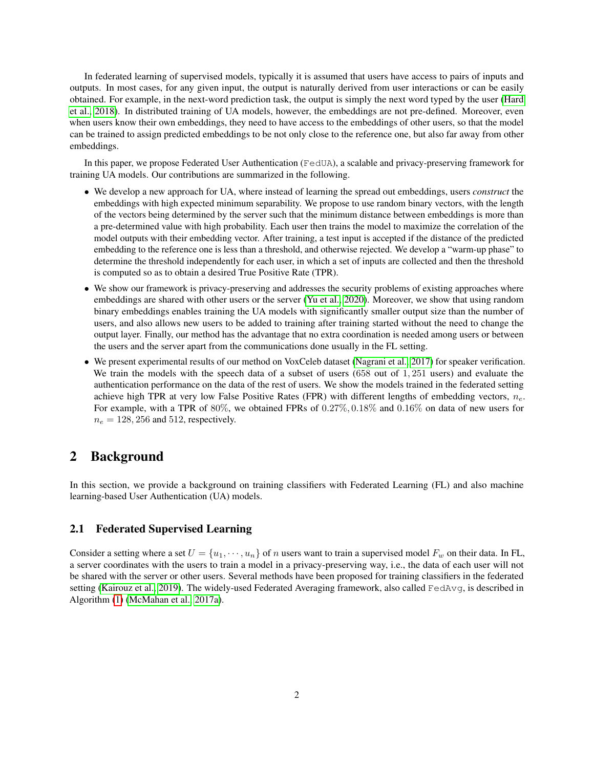In federated learning of supervised models, typically it is assumed that users have access to pairs of inputs and outputs. In most cases, for any given input, the output is naturally derived from user interactions or can be easily obtained. For example, in the next-word prediction task, the output is simply the next word typed by the user [\(Hard](#page-8-3) [et al., 2018\)](#page-8-3). In distributed training of UA models, however, the embeddings are not pre-defined. Moreover, even when users know their own embeddings, they need to have access to the embeddings of other users, so that the model can be trained to assign predicted embeddings to be not only close to the reference one, but also far away from other embeddings.

In this paper, we propose Federated User Authentication (FedUA), a scalable and privacy-preserving framework for training UA models. Our contributions are summarized in the following.

- We develop a new approach for UA, where instead of learning the spread out embeddings, users *construct* the embeddings with high expected minimum separability. We propose to use random binary vectors, with the length of the vectors being determined by the server such that the minimum distance between embeddings is more than a pre-determined value with high probability. Each user then trains the model to maximize the correlation of the model outputs with their embedding vector. After training, a test input is accepted if the distance of the predicted embedding to the reference one is less than a threshold, and otherwise rejected. We develop a "warm-up phase" to determine the threshold independently for each user, in which a set of inputs are collected and then the threshold is computed so as to obtain a desired True Positive Rate (TPR).
- We show our framework is privacy-preserving and addresses the security problems of existing approaches where embeddings are shared with other users or the server [\(Yu et al., 2020\)](#page-9-6). Moreover, we show that using random binary embeddings enables training the UA models with significantly smaller output size than the number of users, and also allows new users to be added to training after training started without the need to change the output layer. Finally, our method has the advantage that no extra coordination is needed among users or between the users and the server apart from the communications done usually in the FL setting.
- We present experimental results of our method on VoxCeleb dataset [\(Nagrani et al., 2017\)](#page-9-7) for speaker verification. We train the models with the speech data of a subset of users (658 out of 1, 251 users) and evaluate the authentication performance on the data of the rest of users. We show the models trained in the federated setting achieve high TPR at very low False Positive Rates (FPR) with different lengths of embedding vectors,  $n_e$ . For example, with a TPR of 80%, we obtained FPRs of 0.27%, 0.18% and 0.16% on data of new users for  $n_e = 128, 256$  and 512, respectively.

# 2 Background

In this section, we provide a background on training classifiers with Federated Learning (FL) and also machine learning-based User Authentication (UA) models.

#### 2.1 Federated Supervised Learning

Consider a setting where a set  $U = \{u_1, \dots, u_n\}$  of n users want to train a supervised model  $F_w$  on their data. In FL, a server coordinates with the users to train a model in a privacy-preserving way, i.e., the data of each user will not be shared with the server or other users. Several methods have been proposed for training classifiers in the federated setting [\(Kairouz et al., 2019\)](#page-9-8). The widely-used Federated Averaging framework, also called FedAvg, is described in Algorithm [\(1\)](#page-2-0) [\(McMahan et al., 2017a\)](#page-9-5).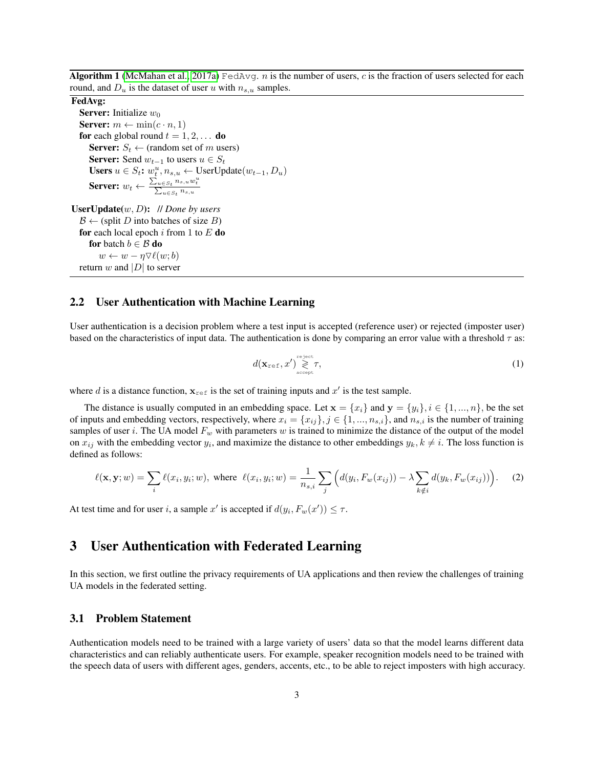<span id="page-2-0"></span>Algorithm 1 [\(McMahan et al., 2017a\)](#page-9-5) FedAvg. *n* is the number of users, *c* is the fraction of users selected for each round, and  $D_u$  is the dataset of user u with  $n_{s,u}$  samples.

#### FedAvg:

**Server:** Initialize  $w_0$ **Server:**  $m \leftarrow \min(c \cdot n, 1)$ for each global round  $t = 1, 2, \ldots$  do **Server:**  $S_t \leftarrow$  (random set of m users) **Server:** Send  $w_{t-1}$  to users  $u \in S_t$ Users  $u \in S_t$ :  $w_t^u, n_{s,u} \leftarrow$  UserUpdate $(w_{t-1}, D_u)$ Server:  $w_t \leftarrow \frac{\sum_{u \in S_t} n_{s,u} w_t^u}{\sum_{u \in S_t} n_{s,u}}$ 

UserUpdate(w, D): // *Done by users*  $\mathcal{B} \leftarrow$  (split D into batches of size B) for each local epoch i from 1 to  $E$  do for batch  $b \in \mathcal{B}$  do  $w \leftarrow w - \eta \nabla \ell(w; b)$ return w and  $|D|$  to server

### 2.2 User Authentication with Machine Learning

User authentication is a decision problem where a test input is accepted (reference user) or rejected (imposter user) based on the characteristics of input data. The authentication is done by comparing an error value with a threshold  $\tau$  as:

<span id="page-2-1"></span>
$$
d(\mathbf{x}_{\text{ref}}, x') \mathop{\gtrless}^{\text{reject}} \tau, \tag{1}
$$

where d is a distance function,  $x_{ref}$  is the set of training inputs and  $x'$  is the test sample.

The distance is usually computed in an embedding space. Let  $\mathbf{x} = \{x_i\}$  and  $\mathbf{y} = \{y_i\}, i \in \{1, ..., n\}$ , be the set of inputs and embedding vectors, respectively, where  $x_i = \{x_{ij}\}\$ ,  $j \in \{1, ..., n_{s,i}\}\$ , and  $n_{s,i}$  is the number of training samples of user i. The UA model  $F_w$  with parameters w is trained to minimize the distance of the output of the model on  $x_{ij}$  with the embedding vector  $y_i$ , and maximize the distance to other embeddings  $y_k, k \neq i$ . The loss function is defined as follows:

$$
\ell(\mathbf{x}, \mathbf{y}; w) = \sum_{i} \ell(x_i, y_i; w), \text{ where } \ell(x_i, y_i; w) = \frac{1}{n_{s,i}} \sum_{j} \left( d(y_i, F_w(x_{ij})) - \lambda \sum_{k \notin i} d(y_k, F_w(x_{ij})) \right). \tag{2}
$$

At test time and for user i, a sample x' is accepted if  $d(y_i, F_w(x')) \leq \tau$ .

# 3 User Authentication with Federated Learning

In this section, we first outline the privacy requirements of UA applications and then review the challenges of training UA models in the federated setting.

### <span id="page-2-2"></span>3.1 Problem Statement

Authentication models need to be trained with a large variety of users' data so that the model learns different data characteristics and can reliably authenticate users. For example, speaker recognition models need to be trained with the speech data of users with different ages, genders, accents, etc., to be able to reject imposters with high accuracy.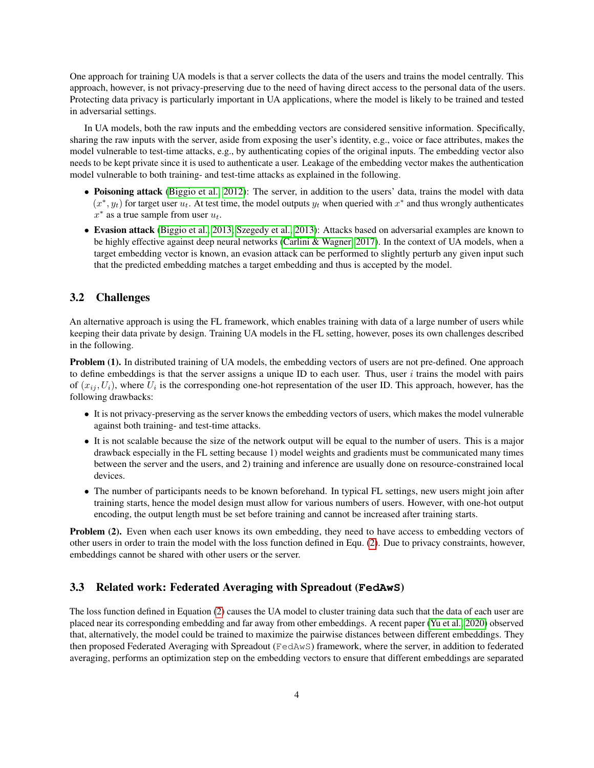One approach for training UA models is that a server collects the data of the users and trains the model centrally. This approach, however, is not privacy-preserving due to the need of having direct access to the personal data of the users. Protecting data privacy is particularly important in UA applications, where the model is likely to be trained and tested in adversarial settings.

In UA models, both the raw inputs and the embedding vectors are considered sensitive information. Specifically, sharing the raw inputs with the server, aside from exposing the user's identity, e.g., voice or face attributes, makes the model vulnerable to test-time attacks, e.g., by authenticating copies of the original inputs. The embedding vector also needs to be kept private since it is used to authenticate a user. Leakage of the embedding vector makes the authentication model vulnerable to both training- and test-time attacks as explained in the following.

- Poisoning attack [\(Biggio et al., 2012\)](#page-8-1): The server, in addition to the users' data, trains the model with data  $(x^*, y_t)$  for target user  $u_t$ . At test time, the model outputs  $y_t$  when queried with  $x^*$  and thus wrongly authenticates  $x^*$  as a true sample from user  $u_t$ .
- Evasion attack [\(Biggio et al., 2013;](#page-8-2) [Szegedy et al., 2013\)](#page-9-4): Attacks based on adversarial examples are known to be highly effective against deep neural networks [\(Carlini & Wagner, 2017\)](#page-8-4). In the context of UA models, when a target embedding vector is known, an evasion attack can be performed to slightly perturb any given input such that the predicted embedding matches a target embedding and thus is accepted by the model.

#### 3.2 Challenges

An alternative approach is using the FL framework, which enables training with data of a large number of users while keeping their data private by design. Training UA models in the FL setting, however, poses its own challenges described in the following.

Problem (1). In distributed training of UA models, the embedding vectors of users are not pre-defined. One approach to define embeddings is that the server assigns a unique ID to each user. Thus, user  $i$  trains the model with pairs of  $(x_{ij}, U_i)$ , where  $U_i$  is the corresponding one-hot representation of the user ID. This approach, however, has the following drawbacks:

- It is not privacy-preserving as the server knows the embedding vectors of users, which makes the model vulnerable against both training- and test-time attacks.
- It is not scalable because the size of the network output will be equal to the number of users. This is a major drawback especially in the FL setting because 1) model weights and gradients must be communicated many times between the server and the users, and 2) training and inference are usually done on resource-constrained local devices.
- The number of participants needs to be known beforehand. In typical FL settings, new users might join after training starts, hence the model design must allow for various numbers of users. However, with one-hot output encoding, the output length must be set before training and cannot be increased after training starts.

Problem (2). Even when each user knows its own embedding, they need to have access to embedding vectors of other users in order to train the model with the loss function defined in Equ. [\(2\)](#page-2-1). Due to privacy constraints, however, embeddings cannot be shared with other users or the server.

### 3.3 Related work: Federated Averaging with Spreadout (**FedAwS**)

The loss function defined in Equation [\(2\)](#page-2-1) causes the UA model to cluster training data such that the data of each user are placed near its corresponding embedding and far away from other embeddings. A recent paper [\(Yu et al., 2020\)](#page-9-6) observed that, alternatively, the model could be trained to maximize the pairwise distances between different embeddings. They then proposed Federated Averaging with Spreadout (FedAwS) framework, where the server, in addition to federated averaging, performs an optimization step on the embedding vectors to ensure that different embeddings are separated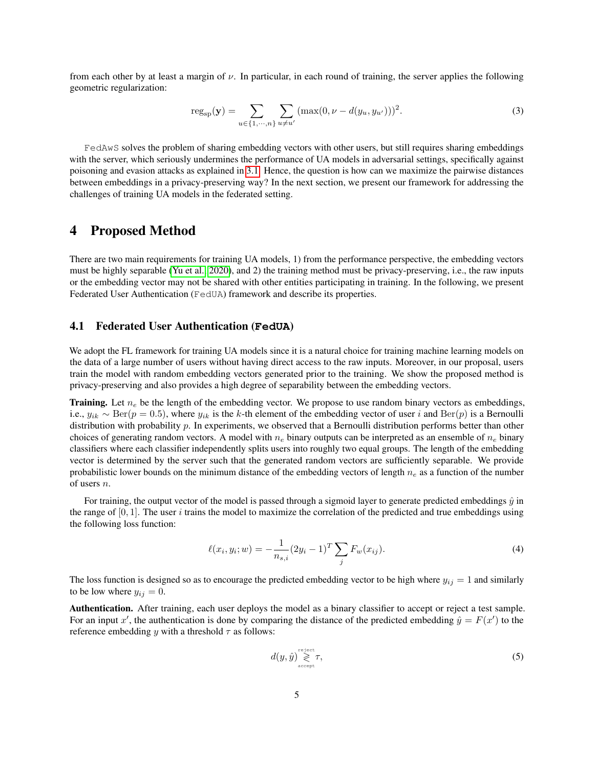from each other by at least a margin of  $\nu$ . In particular, in each round of training, the server applies the following geometric regularization:

$$
reg_{sp}(\mathbf{y}) = \sum_{u \in \{1, \cdots, n\}} \sum_{u \neq u'} (max(0, \nu - d(y_u, y_{u'})))^{2}.
$$
 (3)

FedAwS solves the problem of sharing embedding vectors with other users, but still requires sharing embeddings with the server, which seriously undermines the performance of UA models in adversarial settings, specifically against poisoning and evasion attacks as explained in [3.1.](#page-2-2) Hence, the question is how can we maximize the pairwise distances between embeddings in a privacy-preserving way? In the next section, we present our framework for addressing the challenges of training UA models in the federated setting.

# 4 Proposed Method

There are two main requirements for training UA models, 1) from the performance perspective, the embedding vectors must be highly separable [\(Yu et al., 2020\)](#page-9-6), and 2) the training method must be privacy-preserving, i.e., the raw inputs or the embedding vector may not be shared with other entities participating in training. In the following, we present Federated User Authentication (FedUA) framework and describe its properties.

#### 4.1 Federated User Authentication (**FedUA**)

We adopt the FL framework for training UA models since it is a natural choice for training machine learning models on the data of a large number of users without having direct access to the raw inputs. Moreover, in our proposal, users train the model with random embedding vectors generated prior to the training. We show the proposed method is privacy-preserving and also provides a high degree of separability between the embedding vectors.

**Training.** Let  $n_e$  be the length of the embedding vector. We propose to use random binary vectors as embeddings, i.e.,  $y_{ik} \sim \text{Ber}(p = 0.5)$ , where  $y_{ik}$  is the k-th element of the embedding vector of user i and  $\text{Ber}(p)$  is a Bernoulli distribution with probability p. In experiments, we observed that a Bernoulli distribution performs better than other choices of generating random vectors. A model with  $n_e$  binary outputs can be interpreted as an ensemble of  $n_e$  binary classifiers where each classifier independently splits users into roughly two equal groups. The length of the embedding vector is determined by the server such that the generated random vectors are sufficiently separable. We provide probabilistic lower bounds on the minimum distance of the embedding vectors of length  $n_e$  as a function of the number of users n.

For training, the output vector of the model is passed through a sigmoid layer to generate predicted embeddings  $\hat{y}$  in the range of  $[0, 1]$ . The user i trains the model to maximize the correlation of the predicted and true embeddings using the following loss function:

$$
\ell(x_i, y_i; w) = -\frac{1}{n_{s,i}} (2y_i - 1)^T \sum_j F_w(x_{ij}).
$$
\n(4)

The loss function is designed so as to encourage the predicted embedding vector to be high where  $y_{ij} = 1$  and similarly to be low where  $y_{ij} = 0$ .

Authentication. After training, each user deploys the model as a binary classifier to accept or reject a test sample. For an input x', the authentication is done by comparing the distance of the predicted embedding  $\hat{y} = F(x')$  to the reference embedding y with a threshold  $\tau$  as follows:

$$
d(y, \hat{y}) \mathop{\gtrless}^{\text{reject}} \tau,\tag{5}
$$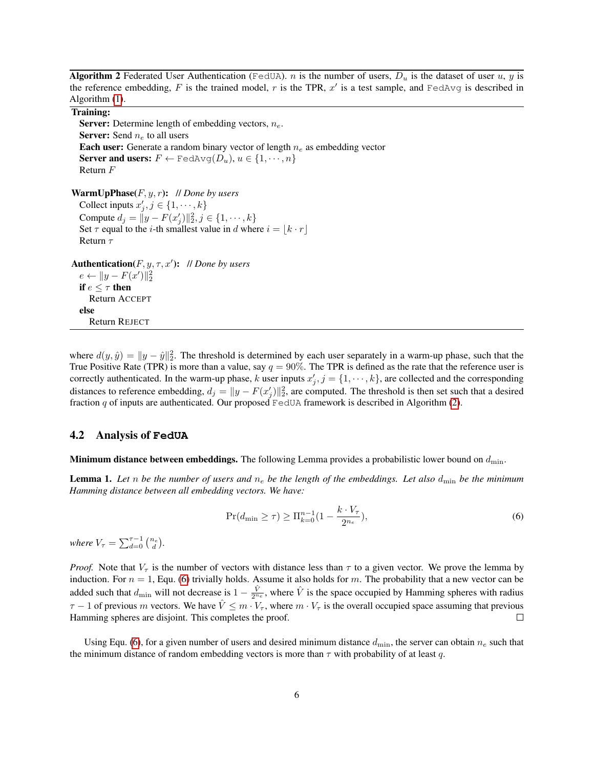<span id="page-5-0"></span>Algorithm 2 Federated User Authentication (FedUA). *n* is the number of users,  $D_u$  is the dataset of user u, y is the reference embedding, F is the trained model, r is the TPR,  $x'$  is a test sample, and FedAvg is described in Algorithm [\(1\)](#page-2-0).

#### Training:

**Server:** Determine length of embedding vectors,  $n_e$ . **Server:** Send  $n_e$  to all users **Each user:** Generate a random binary vector of length  $n_e$  as embedding vector Server and users:  $F \leftarrow \text{FedAvg}(D_u), u \in \{1, \cdots, n\}$ Return F

WarmUpPhase(F, y, r): // *Done by users* Collect inputs  $x'_j, j \in \{1, \dots, k\}$ Compute  $d_j = ||y - F(x'_j)||_2^2, j \in \{1, \dots, k\}$ Set  $\tau$  equal to the *i*-th smallest value in d where  $i = |k \cdot r|$ Return τ

Authentication $(F, y, \tau, x')$ : // *Done by users*  $e \leftarrow ||y - F(x')||_2^2$ if  $e \leq \tau$  then Return ACCEPT else Return REJECT

where  $d(y, \hat{y}) = ||y - \hat{y}||_2^2$ . The threshold is determined by each user separately in a warm-up phase, such that the True Positive Rate (TPR) is more than a value, say  $q = 90\%$ . The TPR is defined as the rate that the reference user is correctly authenticated. In the warm-up phase, k user inputs  $x'_j$ ,  $j = \{1, \dots, k\}$ , are collected and the corresponding distances to reference embedding,  $d_j = ||y - F(x'_j)||_2^2$ , are computed. The threshold is then set such that a desired fraction q of inputs are authenticated. Our proposed  $\text{FedUA}$  framework is described in Algorithm [\(2\)](#page-5-0).

#### 4.2 Analysis of **FedUA**

**Minimum distance between embeddings.** The following Lemma provides a probabilistic lower bound on  $d_{\min}$ .

**Lemma 1.** Let n be the number of users and  $n_e$  be the length of the embeddings. Let also  $d_{\min}$  be the minimum *Hamming distance between all embedding vectors. We have:*

<span id="page-5-1"></span>
$$
\Pr(d_{\min} \ge \tau) \ge \Pi_{k=0}^{n-1} \left( 1 - \frac{k \cdot V_{\tau}}{2^{n_e}} \right),\tag{6}
$$

*where*  $V_{\tau} = \sum_{d=0}^{\tau-1} \binom{n_e}{d}$ .

*Proof.* Note that  $V_\tau$  is the number of vectors with distance less than  $\tau$  to a given vector. We prove the lemma by induction. For  $n = 1$ , Equ. [\(6\)](#page-5-1) trivially holds. Assume it also holds for m. The probability that a new vector can be added such that  $d_{\min}$  will not decrease is  $1-\frac{\hat{V}}{2n_e}$ , where  $\hat{V}$  is the space occupied by Hamming spheres with radius  $\tau$  − 1 of previous m vectors. We have  $\hat{V} \leq m \cdot V_{\tau}$ , where  $m \cdot V_{\tau}$  is the overall occupied space assuming that previous Hamming spheres are disjoint. This completes the proof.  $\Box$ 

Using Equ. [\(6\)](#page-5-1), for a given number of users and desired minimum distance  $d_{\min}$ , the server can obtain  $n_e$  such that the minimum distance of random embedding vectors is more than  $\tau$  with probability of at least q.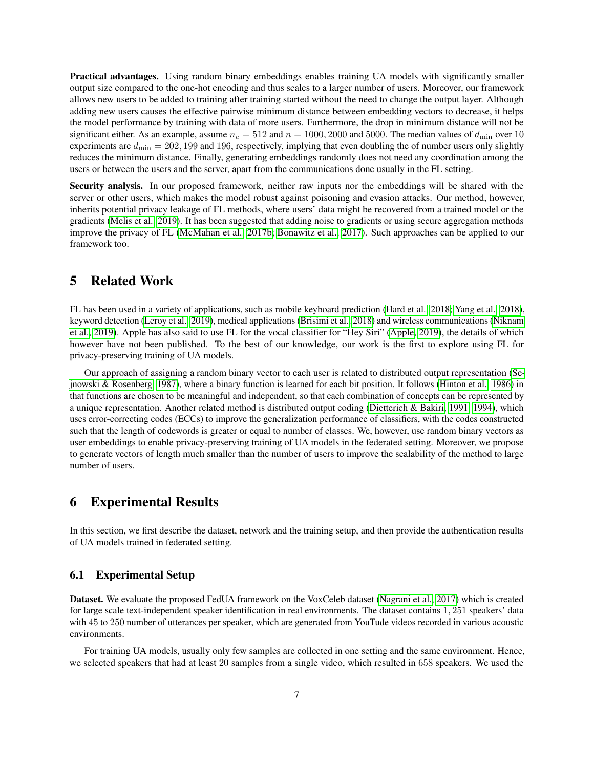Practical advantages. Using random binary embeddings enables training UA models with significantly smaller output size compared to the one-hot encoding and thus scales to a larger number of users. Moreover, our framework allows new users to be added to training after training started without the need to change the output layer. Although adding new users causes the effective pairwise minimum distance between embedding vectors to decrease, it helps the model performance by training with data of more users. Furthermore, the drop in minimum distance will not be significant either. As an example, assume  $n_e = 512$  and  $n = 1000, 2000$  and 5000. The median values of  $d_{\text{min}}$  over 10 experiments are  $d_{\text{min}} = 202,199$  and 196, respectively, implying that even doubling the of number users only slightly reduces the minimum distance. Finally, generating embeddings randomly does not need any coordination among the users or between the users and the server, apart from the communications done usually in the FL setting.

Security analysis. In our proposed framework, neither raw inputs nor the embeddings will be shared with the server or other users, which makes the model robust against poisoning and evasion attacks. Our method, however, inherits potential privacy leakage of FL methods, where users' data might be recovered from a trained model or the gradients [\(Melis et al., 2019\)](#page-9-9). It has been suggested that adding noise to gradients or using secure aggregation methods improve the privacy of FL [\(McMahan et al., 2017b;](#page-9-10) [Bonawitz et al., 2017\)](#page-8-5). Such approaches can be applied to our framework too.

# 5 Related Work

FL has been used in a variety of applications, such as mobile keyboard prediction [\(Hard et al., 2018;](#page-8-3) [Yang et al., 2018\)](#page-9-11), keyword detection [\(Leroy et al., 2019\)](#page-9-12), medical applications [\(Brisimi et al., 2018\)](#page-8-6) and wireless communications [\(Niknam](#page-9-13) [et al., 2019\)](#page-9-13). Apple has also said to use FL for the vocal classifier for "Hey Siri" [\(Apple, 2019\)](#page-8-7), the details of which however have not been published. To the best of our knowledge, our work is the first to explore using FL for privacy-preserving training of UA models.

Our approach of assigning a random binary vector to each user is related to distributed output representation [\(Se](#page-9-14)[jnowski & Rosenberg, 1987\)](#page-9-14), where a binary function is learned for each bit position. It follows [\(Hinton et al., 1986\)](#page-9-15) in that functions are chosen to be meaningful and independent, so that each combination of concepts can be represented by a unique representation. Another related method is distributed output coding [\(Dietterich & Bakiri, 1991,](#page-8-8) [1994\)](#page-8-9), which uses error-correcting codes (ECCs) to improve the generalization performance of classifiers, with the codes constructed such that the length of codewords is greater or equal to number of classes. We, however, use random binary vectors as user embeddings to enable privacy-preserving training of UA models in the federated setting. Moreover, we propose to generate vectors of length much smaller than the number of users to improve the scalability of the method to large number of users.

# 6 Experimental Results

In this section, we first describe the dataset, network and the training setup, and then provide the authentication results of UA models trained in federated setting.

### 6.1 Experimental Setup

Dataset. We evaluate the proposed FedUA framework on the VoxCeleb dataset [\(Nagrani et al., 2017\)](#page-9-7) which is created for large scale text-independent speaker identification in real environments. The dataset contains 1, 251 speakers' data with 45 to 250 number of utterances per speaker, which are generated from YouTude videos recorded in various acoustic environments.

For training UA models, usually only few samples are collected in one setting and the same environment. Hence, we selected speakers that had at least 20 samples from a single video, which resulted in 658 speakers. We used the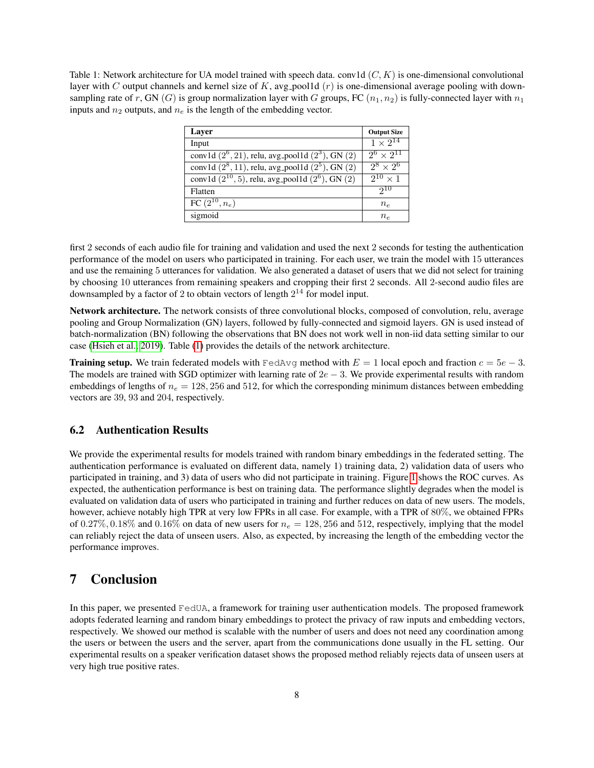<span id="page-7-0"></span>Table 1: Network architecture for UA model trained with speech data. conv1d  $(C, K)$  is one-dimensional convolutional layer with C output channels and kernel size of K, avg pool1d  $(r)$  is one-dimensional average pooling with downsampling rate of r, GN (G) is group normalization layer with G groups, FC  $(n_1, n_2)$  is fully-connected layer with  $n_1$ inputs and  $n_2$  outputs, and  $n_e$  is the length of the embedding vector.

| Layer                                                      | <b>Output Size</b>          |
|------------------------------------------------------------|-----------------------------|
| Input                                                      | $1 \times 2^{14}$           |
| conv1d $(2^6, 21)$ , relu, avg_pool1d $(2^3)$ , GN $(2)$   | $2^6 \times 2^{11}$         |
| conv1d $(2^8, 11)$ , relu, avg_pool1d $(2^5)$ , GN $(2)$   | $\overline{2^8} \times 2^6$ |
| conv1d $(2^{10}, 5)$ , relu, avg_pool1d $(2^6)$ , GN $(2)$ | $2^{10} \times 1$           |
| Flatten                                                    | 210                         |
| FC $(2^{10}, n_e)$                                         | $n_e$                       |
| sigmoid                                                    | $n_e$                       |

first 2 seconds of each audio file for training and validation and used the next 2 seconds for testing the authentication performance of the model on users who participated in training. For each user, we train the model with 15 utterances and use the remaining 5 utterances for validation. We also generated a dataset of users that we did not select for training by choosing 10 utterances from remaining speakers and cropping their first 2 seconds. All 2-second audio files are downsampled by a factor of 2 to obtain vectors of length  $2^{14}$  for model input.

Network architecture. The network consists of three convolutional blocks, composed of convolution, relu, average pooling and Group Normalization (GN) layers, followed by fully-connected and sigmoid layers. GN is used instead of batch-normalization (BN) following the observations that BN does not work well in non-iid data setting similar to our case [\(Hsieh et al., 2019\)](#page-9-16). Table [\(1\)](#page-7-0) provides the details of the network architecture.

**Training setup.** We train federated models with FedAvg method with  $E = 1$  local epoch and fraction  $c = 5e - 3$ . The models are trained with SGD optimizer with learning rate of  $2e - 3$ . We provide experimental results with random embeddings of lengths of  $n_e = 128, 256$  and 512, for which the corresponding minimum distances between embedding vectors are 39, 93 and 204, respectively.

### 6.2 Authentication Results

We provide the experimental results for models trained with random binary embeddings in the federated setting. The authentication performance is evaluated on different data, namely 1) training data, 2) validation data of users who participated in training, and 3) data of users who did not participate in training. Figure [1](#page-8-10) shows the ROC curves. As expected, the authentication performance is best on training data. The performance slightly degrades when the model is evaluated on validation data of users who participated in training and further reduces on data of new users. The models, however, achieve notably high TPR at very low FPRs in all case. For example, with a TPR of 80%, we obtained FPRs of 0.27%, 0.18% and 0.16% on data of new users for  $n_e = 128, 256$  and 512, respectively, implying that the model can reliably reject the data of unseen users. Also, as expected, by increasing the length of the embedding vector the performance improves.

# 7 Conclusion

In this paper, we presented FedUA, a framework for training user authentication models. The proposed framework adopts federated learning and random binary embeddings to protect the privacy of raw inputs and embedding vectors, respectively. We showed our method is scalable with the number of users and does not need any coordination among the users or between the users and the server, apart from the communications done usually in the FL setting. Our experimental results on a speaker verification dataset shows the proposed method reliably rejects data of unseen users at very high true positive rates.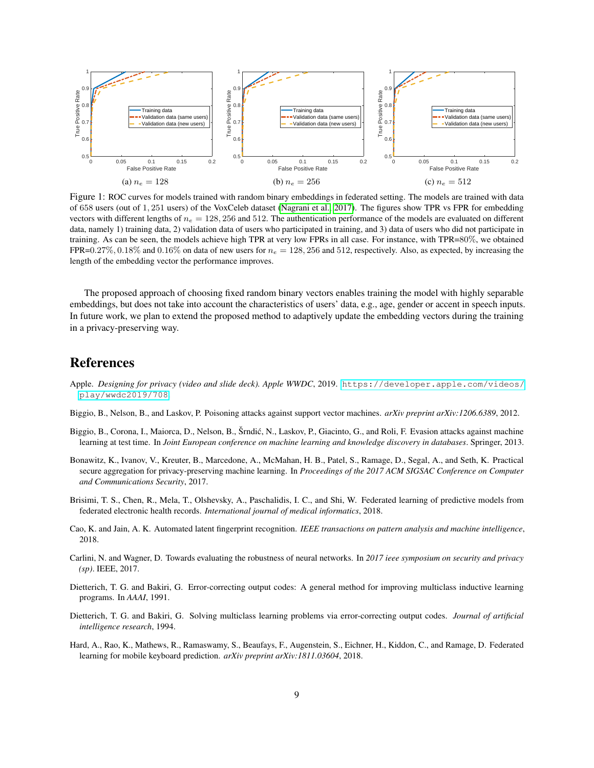<span id="page-8-10"></span>

Figure 1: ROC curves for models trained with random binary embeddings in federated setting. The models are trained with data of 658 users (out of 1, 251 users) of the VoxCeleb dataset [\(Nagrani et al., 2017\)](#page-9-7). The figures show TPR vs FPR for embedding vectors with different lengths of  $n_e = 128, 256$  and 512. The authentication performance of the models are evaluated on different data, namely 1) training data, 2) validation data of users who participated in training, and 3) data of users who did not participate in training. As can be seen, the models achieve high TPR at very low FPRs in all case. For instance, with TPR=80%, we obtained FPR=0.27%, 0.18% and 0.16% on data of new users for  $n_e = 128,256$  and 512, respectively. Also, as expected, by increasing the length of the embedding vector the performance improves.

The proposed approach of choosing fixed random binary vectors enables training the model with highly separable embeddings, but does not take into account the characteristics of users' data, e.g., age, gender or accent in speech inputs. In future work, we plan to extend the proposed method to adaptively update the embedding vectors during the training in a privacy-preserving way.

# References

- <span id="page-8-7"></span>Apple. *Designing for privacy (video and slide deck). Apple WWDC*, 2019. [https://developer.apple.com/videos/](https://developer.apple.com/videos/play/wwdc2019/708) [play/wwdc2019/708](https://developer.apple.com/videos/play/wwdc2019/708).
- <span id="page-8-1"></span>Biggio, B., Nelson, B., and Laskov, P. Poisoning attacks against support vector machines. *arXiv preprint arXiv:1206.6389*, 2012.
- <span id="page-8-2"></span>Biggio, B., Corona, I., Maiorca, D., Nelson, B., Šrndić, N., Laskov, P., Giacinto, G., and Roli, F. Evasion attacks against machine learning at test time. In *Joint European conference on machine learning and knowledge discovery in databases*. Springer, 2013.
- <span id="page-8-5"></span>Bonawitz, K., Ivanov, V., Kreuter, B., Marcedone, A., McMahan, H. B., Patel, S., Ramage, D., Segal, A., and Seth, K. Practical secure aggregation for privacy-preserving machine learning. In *Proceedings of the 2017 ACM SIGSAC Conference on Computer and Communications Security*, 2017.
- <span id="page-8-6"></span>Brisimi, T. S., Chen, R., Mela, T., Olshevsky, A., Paschalidis, I. C., and Shi, W. Federated learning of predictive models from federated electronic health records. *International journal of medical informatics*, 2018.
- <span id="page-8-0"></span>Cao, K. and Jain, A. K. Automated latent fingerprint recognition. *IEEE transactions on pattern analysis and machine intelligence*, 2018.
- <span id="page-8-4"></span>Carlini, N. and Wagner, D. Towards evaluating the robustness of neural networks. In *2017 ieee symposium on security and privacy (sp)*. IEEE, 2017.
- <span id="page-8-8"></span>Dietterich, T. G. and Bakiri, G. Error-correcting output codes: A general method for improving multiclass inductive learning programs. In *AAAI*, 1991.
- <span id="page-8-9"></span>Dietterich, T. G. and Bakiri, G. Solving multiclass learning problems via error-correcting output codes. *Journal of artificial intelligence research*, 1994.
- <span id="page-8-3"></span>Hard, A., Rao, K., Mathews, R., Ramaswamy, S., Beaufays, F., Augenstein, S., Eichner, H., Kiddon, C., and Ramage, D. Federated learning for mobile keyboard prediction. *arXiv preprint arXiv:1811.03604*, 2018.